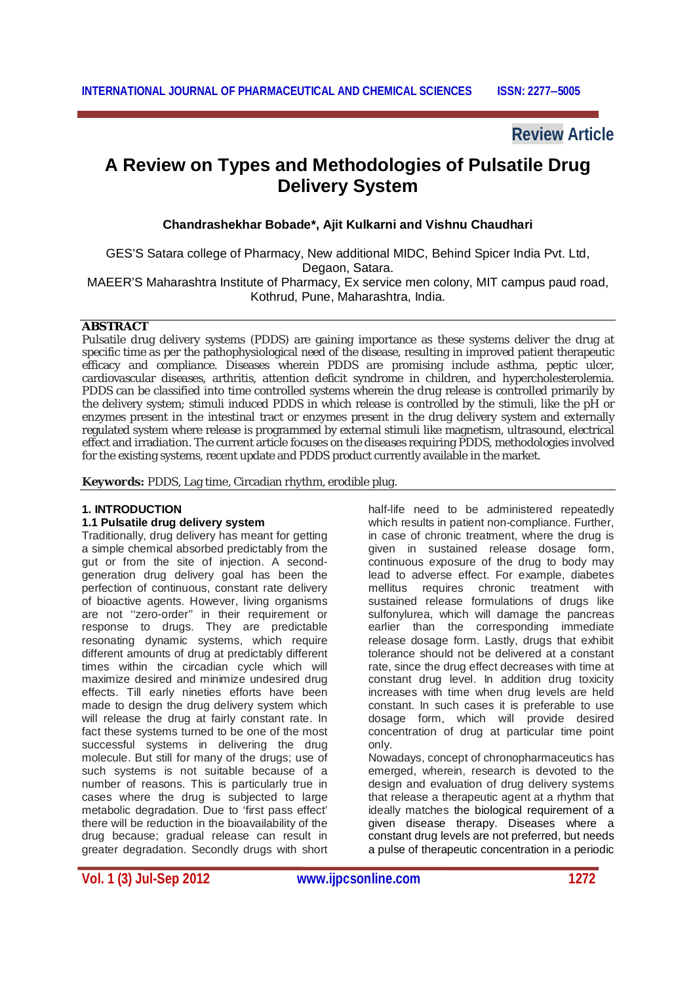**Review Article**

# **A Review on Types and Methodologies of Pulsatile Drug Delivery System**

**Chandrashekhar Bobade\*, Ajit Kulkarni and Vishnu Chaudhari**

GES'S Satara college of Pharmacy, New additional MIDC, Behind Spicer India Pvt. Ltd, Degaon, Satara.

MAEER'S Maharashtra Institute of Pharmacy, Ex service men colony, MIT campus paud road, Kothrud, Pune, Maharashtra, India.

# **ABSTRACT**

Pulsatile drug delivery systems (PDDS) are gaining importance as these systems deliver the drug at specific time as per the pathophysiological need of the disease, resulting in improved patient therapeutic efficacy and compliance. Diseases wherein PDDS are promising include asthma, peptic ulcer, cardiovascular diseases, arthritis, attention deficit syndrome in children, and hypercholesterolemia. PDDS can be classified into time controlled systems wherein the drug release is controlled primarily by the delivery system; stimuli induced PDDS in which release is controlled by the stimuli, like the pH or enzymes present in the intestinal tract or enzymes present in the drug delivery system and externally regulated system where release is programmed by external stimuli like magnetism, ultrasound, electrical effect and irradiation. The current article focuses on the diseases requiring PDDS, methodologies involved for the existing systems, recent update and PDDS product currently available in the market.

**Keywords:** PDDS, Lag time, Circadian rhythm, erodible plug.

# **1. INTRODUCTION**

# **1.1 Pulsatile drug delivery system**

Traditionally, drug delivery has meant for getting a simple chemical absorbed predictably from the gut or from the site of injection. A secondgeneration drug delivery goal has been the perfection of continuous, constant rate delivery of bioactive agents. However, living organisms are not ''zero-order'' in their requirement or response to drugs. They are predictable resonating dynamic systems, which require different amounts of drug at predictably different times within the circadian cycle which will maximize desired and minimize undesired drug effects. Till early nineties efforts have been made to design the drug delivery system which will release the drug at fairly constant rate. In fact these systems turned to be one of the most successful systems in delivering the drug molecule. But still for many of the drugs; use of such systems is not suitable because of a number of reasons. This is particularly true in cases where the drug is subjected to large metabolic degradation. Due to 'first pass effect' there will be reduction in the bioavailability of the drug because; gradual release can result in greater degradation. Secondly drugs with short half-life need to be administered repeatedly which results in patient non-compliance. Further, in case of chronic treatment, where the drug is given in sustained release dosage form, continuous exposure of the drug to body may lead to adverse effect. For example, diabetes mellitus requires chronic treatment with sustained release formulations of drugs like sulfonylurea, which will damage the pancreas earlier than the corresponding immediate release dosage form. Lastly, drugs that exhibit tolerance should not be delivered at a constant rate, since the drug effect decreases with time at constant drug level. In addition drug toxicity increases with time when drug levels are held constant. In such cases it is preferable to use dosage form, which will provide desired concentration of drug at particular time point only.

Nowadays, concept of chronopharmaceutics has emerged, wherein, research is devoted to the design and evaluation of drug delivery systems that release a therapeutic agent at a rhythm that ideally matches the biological requirement of a given disease therapy. Diseases where a constant drug levels are not preferred, but needs a pulse of therapeutic concentration in a periodic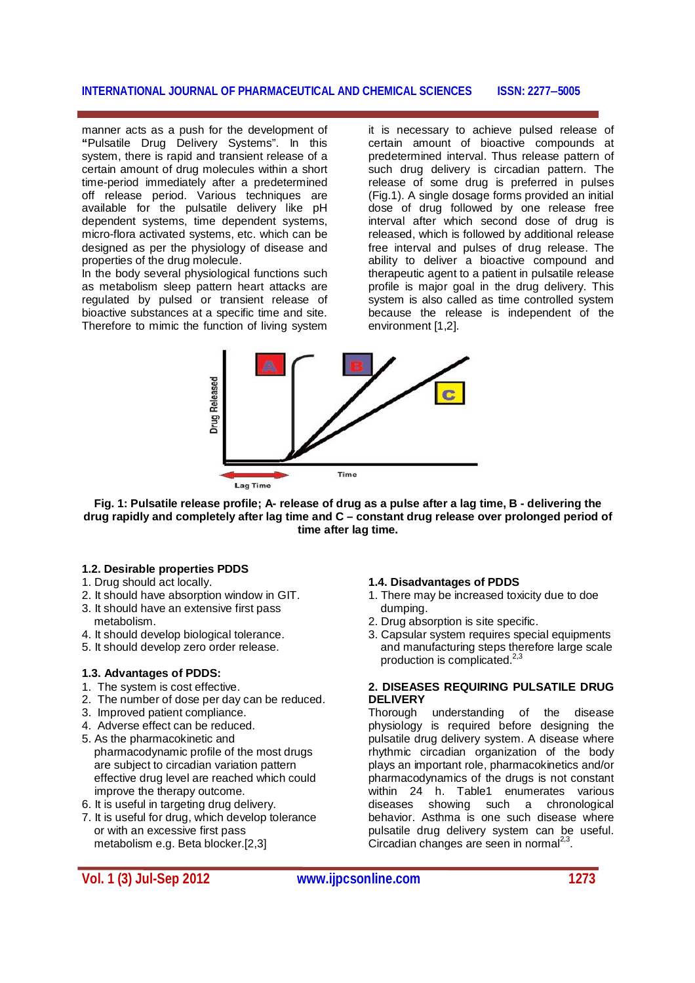manner acts as a push for the development of **"**Pulsatile Drug Delivery Systems". In this system, there is rapid and transient release of a certain amount of drug molecules within a short time-period immediately after a predetermined off release period. Various techniques are available for the pulsatile delivery like pH dependent systems, time dependent systems, micro-flora activated systems, etc. which can be designed as per the physiology of disease and properties of the drug molecule.

In the body several physiological functions such as metabolism sleep pattern heart attacks are regulated by pulsed or transient release of bioactive substances at a specific time and site. Therefore to mimic the function of living system

it is necessary to achieve pulsed release of certain amount of bioactive compounds at predetermined interval. Thus release pattern of such drug delivery is circadian pattern. The release of some drug is preferred in pulses (Fig.1). A single dosage forms provided an initial dose of drug followed by one release free interval after which second dose of drug is released, which is followed by additional release free interval and pulses of drug release. The ability to deliver a bioactive compound and therapeutic agent to a patient in pulsatile release profile is major goal in the drug delivery. This system is also called as time controlled system because the release is independent of the environment [1,2].



**Fig. 1: Pulsatile release profile; A- release of drug as a pulse after a lag time, B - delivering the drug rapidly and completely after lag time and C – constant drug release over prolonged period of time after lag time.**

# **1.2. Desirable properties PDDS**

- 1. Drug should act locally.
- 2. It should have absorption window in GIT.
- 3. It should have an extensive first pass metabolism.
- 4. It should develop biological tolerance.
- 5. It should develop zero order release.

# **1.3. Advantages of PDDS:**

- 1. The system is cost effective.
- 2. The number of dose per day can be reduced.
- 3. Improved patient compliance.
- 4. Adverse effect can be reduced.
- 5. As the pharmacokinetic and pharmacodynamic profile of the most drugs are subject to circadian variation pattern effective drug level are reached which could improve the therapy outcome.
- 6. It is useful in targeting drug delivery.
- 7. It is useful for drug, which develop tolerance or with an excessive first pass metabolism e.g. Beta blocker.[2,3]

# **Vol. 1 (3) Jul-Sep 2012 www.ijpcsonline.com 1273**

# **1.4. Disadvantages of PDDS**

- 1. There may be increased toxicity due to doe dumping.
- 2. Drug absorption is site specific.
- 3. Capsular system requires special equipments and manufacturing steps therefore large scale production is complicated. $^{2,3}$

# **2. DISEASES REQUIRING PULSATILE DRUG DELIVERY**

Thorough understanding of the disease physiology is required before designing the pulsatile drug delivery system. A disease where rhythmic circadian organization of the body plays an important role, pharmacokinetics and/or pharmacodynamics of the drugs is not constant within 24 h. Table1 enumerates various diseases showing such a chronological behavior. Asthma is one such disease where pulsatile drug delivery system can be useful. .<br>Circadian changes are seen in normal<sup>2,3</sup>.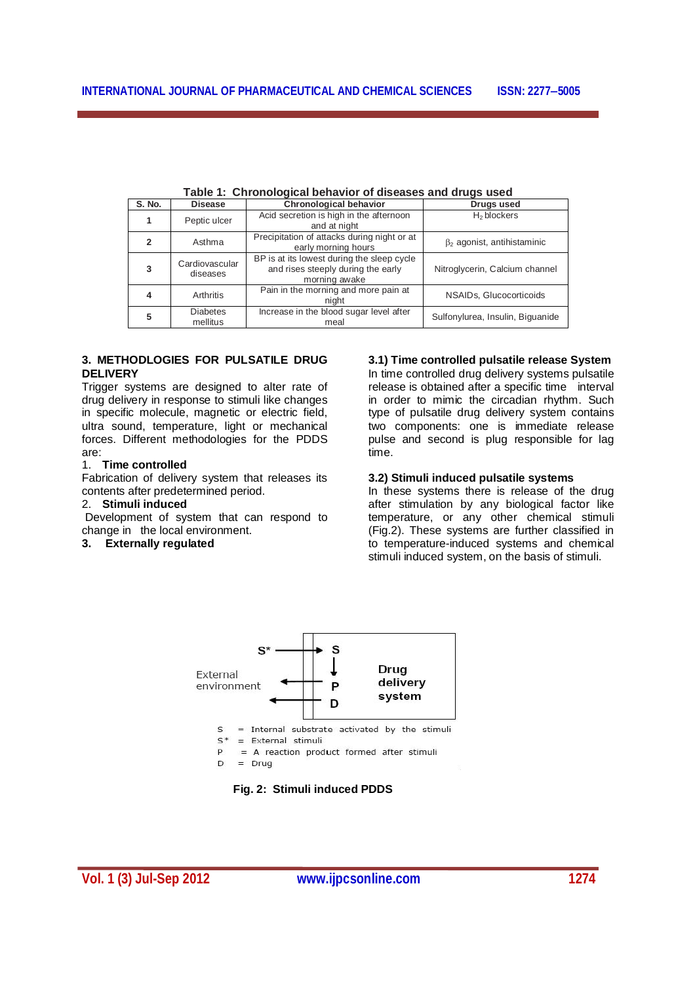| S. No. | <b>Disease</b>              | <b>Chronological behavior</b>                                                                     | Drugs used                        |
|--------|-----------------------------|---------------------------------------------------------------------------------------------------|-----------------------------------|
|        | Peptic ulcer                | Acid secretion is high in the afternoon<br>and at night                                           | H <sub>2</sub> blockers           |
| 2      | Asthma                      | Precipitation of attacks during night or at<br>early morning hours                                | $\beta_2$ agonist, antihistaminic |
| 3      | Cardiovascular<br>diseases  | BP is at its lowest during the sleep cycle<br>and rises steeply during the early<br>morning awake | Nitroglycerin, Calcium channel    |
| 4      | Arthritis                   | Pain in the morning and more pain at<br>night                                                     | NSAIDs, Glucocorticoids           |
| 5      | <b>Diabetes</b><br>mellitus | Increase in the blood sugar level after<br>meal                                                   | Sulfonylurea, Insulin, Biguanide  |

# **3. METHODLOGIES FOR PULSATILE DRUG DELIVERY**

Trigger systems are designed to alter rate of drug delivery in response to stimuli like changes in specific molecule, magnetic or electric field, ultra sound, temperature, light or mechanical forces. Different methodologies for the PDDS are:

#### 1. **Time controlled**

Fabrication of delivery system that releases its contents after predetermined period.

# 2. **Stimuli induced**

Development of system that can respond to change in the local environment.

# **3. Externally regulated**

# **3.1) Time controlled pulsatile release System**

In time controlled drug delivery systems pulsatile release is obtained after a specific time interval in order to mimic the circadian rhythm. Such type of pulsatile drug delivery system contains two components: one is immediate release pulse and second is plug responsible for lag time.

# **3.2) Stimuli induced pulsatile systems**

In these systems there is release of the drug after stimulation by any biological factor like temperature, or any other chemical stimuli (Fig.2). These systems are further classified in to temperature-induced systems and chemical stimuli induced system, on the basis of stimuli.



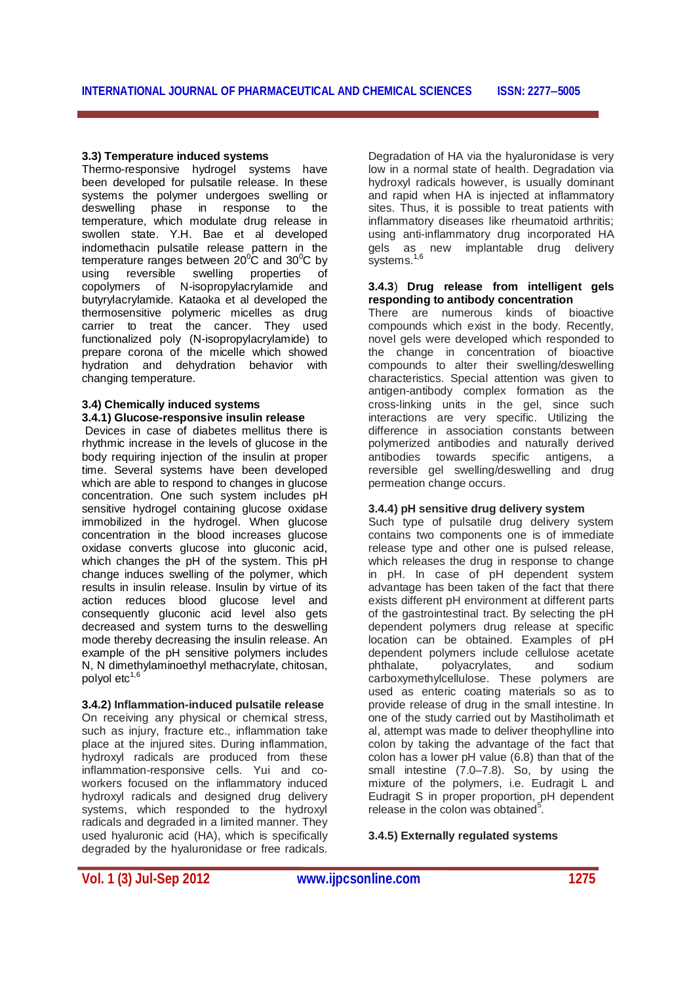### **3.3) Temperature induced systems**

Thermo-responsive hydrogel systems have been developed for pulsatile release. In these systems the polymer undergoes swelling or deswelling phase in response to the temperature, which modulate drug release in swollen state. Y.H. Bae et al developed indomethacin pulsatile release pattern in the temperature ranges between  $20^{\circ}$ C and  $30^{\circ}$ C by using reversible swelling properties of copolymers of N-isopropylacrylamide and butyrylacrylamide. Kataoka et al developed the thermosensitive polymeric micelles as drug carrier to treat the cancer. They used functionalized poly (N-isopropylacrylamide) to prepare corona of the micelle which showed hydration and dehydration behavior with changing temperature.

#### **3.4) Chemically induced systems 3.4.1) Glucose-responsive insulin release**

Devices in case of diabetes mellitus there is rhythmic increase in the levels of glucose in the body requiring injection of the insulin at proper time. Several systems have been developed which are able to respond to changes in glucose concentration. One such system includes pH sensitive hydrogel containing glucose oxidase immobilized in the hydrogel. When glucose concentration in the blood increases glucose oxidase converts glucose into gluconic acid, which changes the pH of the system. This pH change induces swelling of the polymer, which results in insulin release. Insulin by virtue of its action reduces blood glucose level and consequently gluconic acid level also gets decreased and system turns to the deswelling mode thereby decreasing the insulin release. An example of the pH sensitive polymers includes N, N dimethylaminoethyl methacrylate, chitosan, polyol etc $<sup>1</sup>$ </sup>

# **3.4.2) Inflammation-induced pulsatile release**

On receiving any physical or chemical stress, such as injury, fracture etc., inflammation take place at the injured sites. During inflammation, hydroxyl radicals are produced from these inflammation-responsive cells*.* Yui and coworkers focused on the inflammatory induced hydroxyl radicals and designed drug delivery systems, which responded to the hydroxyl radicals and degraded in a limited manner. They used hyaluronic acid (HA), which is specifically degraded by the hyaluronidase or free radicals.

Degradation of HA via the hyaluronidase is very low in a normal state of health. Degradation via hydroxyl radicals however, is usually dominant and rapid when HA is injected at inflammatory sites. Thus, it is possible to treat patients with inflammatory diseases like rheumatoid arthritis; using anti-inflammatory drug incorporated HA gels as new implantable drug delivery systems. 1,6

### **3.4.3**) **Drug release from intelligent gels responding to antibody concentration**

There are numerous kinds of bioactive compounds which exist in the body. Recently, novel gels were developed which responded to the change in concentration of bioactive compounds to alter their swelling/deswelling characteristics. Special attention was given to antigen-antibody complex formation as the cross-linking units in the gel, since such interactions are very specific. Utilizing the difference in association constants between polymerized antibodies and naturally derived antibodies towards specific antigens, a reversible gel swelling/deswelling and drug permeation change occurs.

# **3.4.4) pH sensitive drug delivery system**

Such type of pulsatile drug delivery system contains two components one is of immediate release type and other one is pulsed release, which releases the drug in response to change in pH. In case of pH dependent system advantage has been taken of the fact that there exists different pH environment at different parts of the gastrointestinal tract. By selecting the pH dependent polymers drug release at specific location can be obtained. Examples of pH dependent polymers include cellulose acetate<br>phthalate, polyacrylates, and sodium polyacrylates, and sodium carboxymethylcellulose. These polymers are used as enteric coating materials so as to provide release of drug in the small intestine. In one of the study carried out by Mastiholimath et al, attempt was made to deliver theophylline into colon by taking the advantage of the fact that colon has a lower pH value (6.8) than that of the small intestine (7.0–7.8). So, by using the mixture of the polymers, i.e. Eudragit L and Eudragit S in proper proportion, pH dependent release in the colon was obtained $5$ .

# **3.4.5) Externally regulated systems**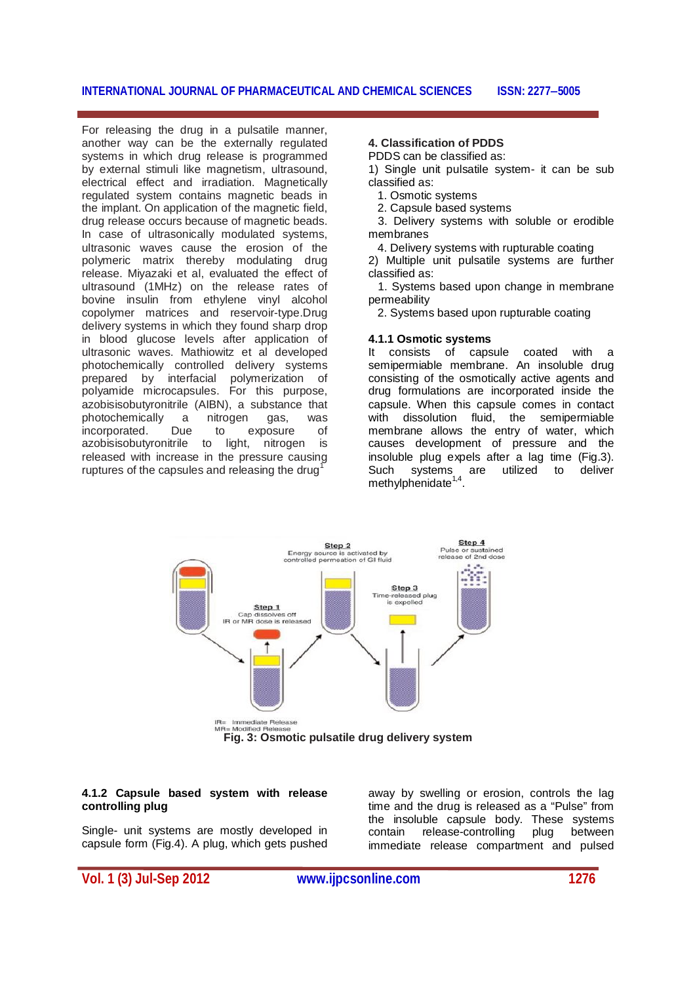For releasing the drug in a pulsatile manner, another way can be the externally regulated systems in which drug release is programmed by external stimuli like magnetism, ultrasound, electrical effect and irradiation. Magnetically regulated system contains magnetic beads in the implant. On application of the magnetic field, drug release occurs because of magnetic beads. In case of ultrasonically modulated systems, ultrasonic waves cause the erosion of the polymeric matrix thereby modulating drug release. Miyazaki et al, evaluated the effect of ultrasound (1MHz) on the release rates of bovine insulin from ethylene vinyl alcohol copolymer matrices and reservoir-type.Drug delivery systems in which they found sharp drop in blood glucose levels after application of ultrasonic waves. Mathiowitz et al developed photochemically controlled delivery systems prepared by interfacial polymerization of polyamide microcapsules. For this purpose, azobisisobutyronitrile (AIBN), a substance that photochemically a nitrogen gas, was<br>incorporated. Due to exposure of incorporated. Due to exposure of azobisisobutyronitrile to light, nitrogen is released with increase in the pressure causing ruptures of the capsules and releasing the drug<sup>1</sup>

# **4. Classification of PDDS**

PDDS can be classified as:

1) Single unit pulsatile system- it can be sub classified as:

- 1. Osmotic systems
- 2. Capsule based systems

 3. Delivery systems with soluble or erodible membranes

4. Delivery systems with rupturable coating

2) Multiple unit pulsatile systems are further classified as:

 1. Systems based upon change in membrane permeability

2. Systems based upon rupturable coating

# **4.1.1 Osmotic systems**

It consists of capsule coated with a semipermiable membrane. An insoluble drug consisting of the osmotically active agents and drug formulations are incorporated inside the capsule. When this capsule comes in contact with dissolution fluid, the semipermiable membrane allows the entry of water, which causes development of pressure and the insoluble plug expels after a lag time (Fig.3). Such systems are utilized to deliver methylphenidate<sup>1,4</sup>.



#### **4.1.2 Capsule based system with release controlling plug**

Single- unit systems are mostly developed in capsule form (Fig.4). A plug, which gets pushed

away by swelling or erosion, controls the lag time and the drug is released as a "Pulse" from the insoluble capsule body. These systems contain release-controlling plug between immediate release compartment and pulsed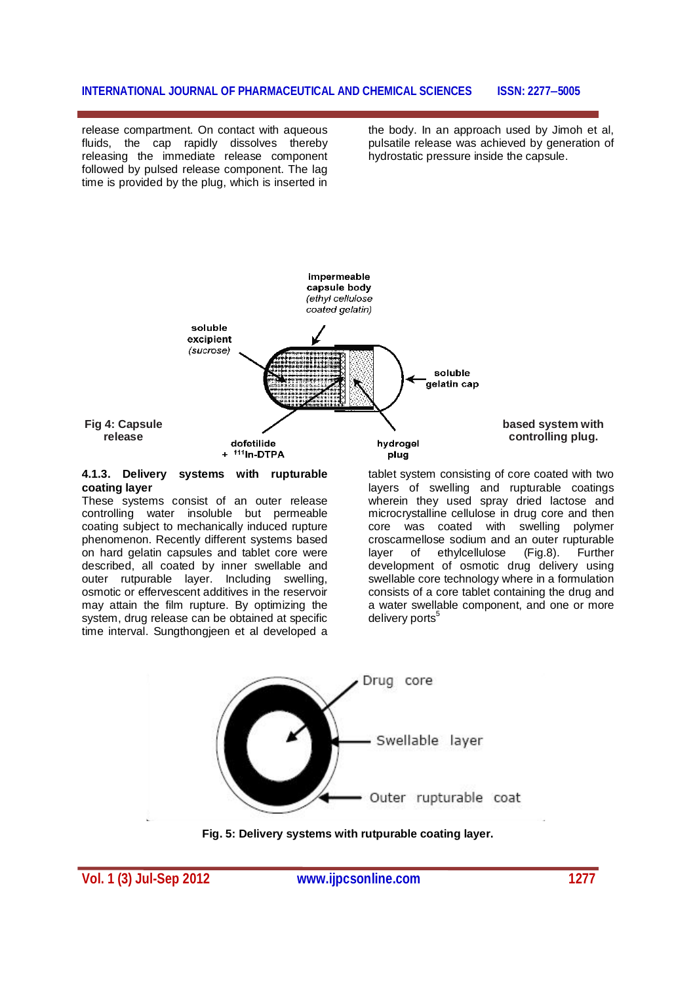release compartment. On contact with aqueous fluids, the cap rapidly dissolves thereby releasing the immediate release component followed by pulsed release component. The lag time is provided by the plug, which is inserted in

the body. In an approach used by Jimoh et al, pulsatile release was achieved by generation of hydrostatic pressure inside the capsule.



#### **4.1.3. Delivery systems with rupturable coating layer**

These systems consist of an outer release controlling water insoluble but permeable coating subject to mechanically induced rupture phenomenon. Recently different systems based on hard gelatin capsules and tablet core were described, all coated by inner swellable and outer rutpurable layer. Including swelling, osmotic or effervescent additives in the reservoir may attain the film rupture. By optimizing the system, drug release can be obtained at specific time interval. Sungthongjeen et al developed a

tablet system consisting of core coated with two layers of swelling and rupturable coatings wherein they used spray dried lactose and microcrystalline cellulose in drug core and then core was coated with swelling polymer croscarmellose sodium and an outer rupturable<br>layer of ethylcellulose (Fig.8). Further layer of ethylcellulose (Fig.8). Further development of osmotic drug delivery using swellable core technology where in a formulation consists of a core tablet containing the drug and a water swellable component, and one or more delivery ports<sup>5</sup>



**Fig. 5: Delivery systems with rutpurable coating layer.**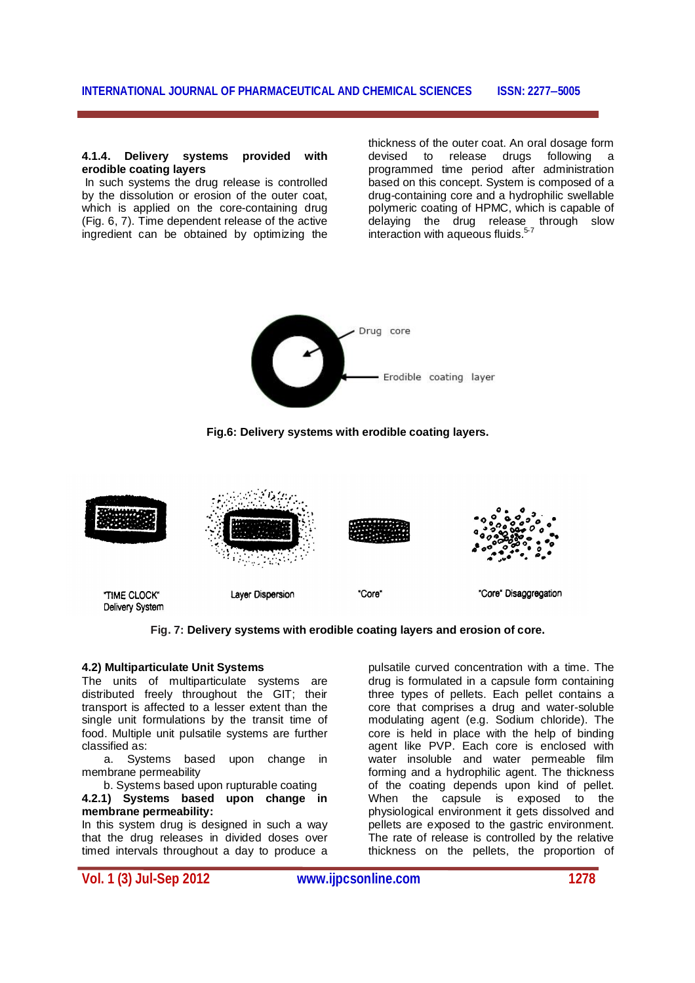#### **4.1.4. Delivery systems provided with erodible coating layers**

In such systems the drug release is controlled by the dissolution or erosion of the outer coat, which is applied on the core-containing drug (Fig. 6, 7). Time dependent release of the active ingredient can be obtained by optimizing the

thickness of the outer coat. An oral dosage form devised to release drugs following a programmed time period after administration based on this concept. System is composed of a drug-containing core and a hydrophilic swellable polymeric coating of HPMC, which is capable of delaying the drug release through slow interaction with aqueous fluids.<sup>5-7</sup>



**Fig.6: Delivery systems with erodible coating layers.**



**Fig. 7: Delivery systems with erodible coating layers and erosion of core.**

### **4.2) Multiparticulate Unit Systems**

The units of multiparticulate systems are distributed freely throughout the GIT; their transport is affected to a lesser extent than the single unit formulations by the transit time of food. Multiple unit pulsatile systems are further classified as:

a. Systems based upon change in membrane permeability

 b. Systems based upon rupturable coating **4.2.1) Systems based upon change in membrane permeability:**

In this system drug is designed in such a way that the drug releases in divided doses over timed intervals throughout a day to produce a

pulsatile curved concentration with a time. The drug is formulated in a capsule form containing three types of pellets. Each pellet contains a core that comprises a drug and water-soluble modulating agent (e.g. Sodium chloride). The core is held in place with the help of binding agent like PVP. Each core is enclosed with water insoluble and water permeable film forming and a hydrophilic agent. The thickness of the coating depends upon kind of pellet. When the capsule is exposed to the physiological environment it gets dissolved and pellets are exposed to the gastric environment. The rate of release is controlled by the relative thickness on the pellets, the proportion of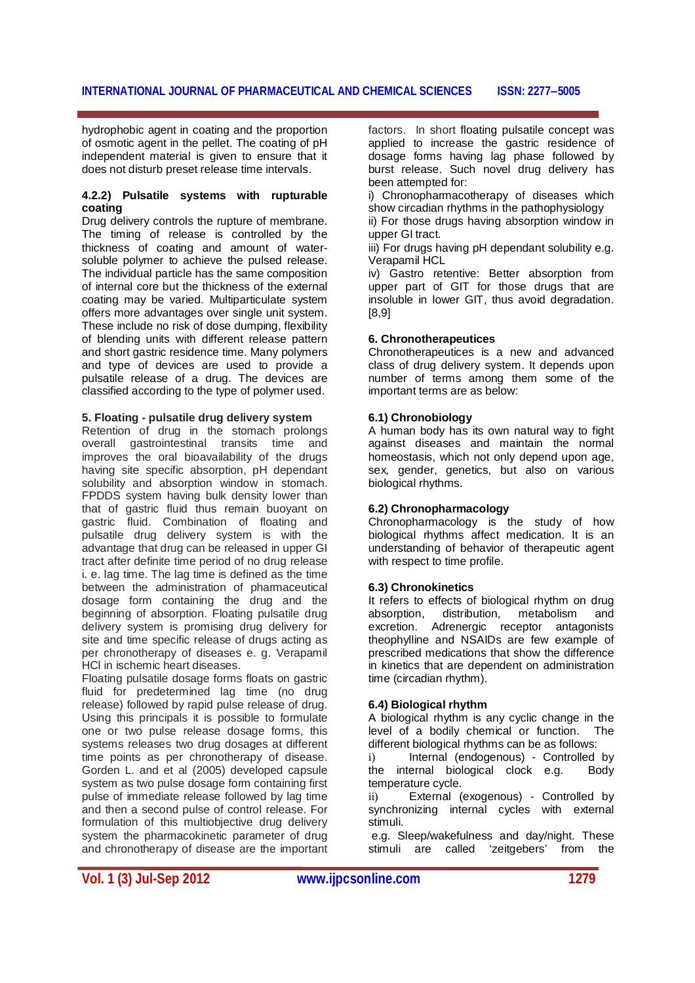hydrophobic agent in coating and the proportion of osmotic agent in the pellet. The coating of pH independent material is given to ensure that it does not disturb preset release time intervals.

#### **4.2.2) Pulsatile systems with rupturable coating**

Drug delivery controls the rupture of membrane. The timing of release is controlled by the thickness of coating and amount of watersoluble polymer to achieve the pulsed release. The individual particle has the same composition of internal core but the thickness of the external coating may be varied. Multiparticulate system offers more advantages over single unit system. These include no risk of dose dumping, flexibility of blending units with different release pattern and short gastric residence time. Many polymers and type of devices are used to provide a pulsatile release of a drug. The devices are classified according to the type of polymer used.

#### **5. Floating - pulsatile drug delivery system**

Retention of drug in the stomach prolongs overall gastrointestinal transits time and improves the oral bioavailability of the drugs having site specific absorption, pH dependant solubility and absorption window in stomach. FPDDS system having bulk density lower than that of gastric fluid thus remain buoyant on gastric fluid. Combination of floating and pulsatile drug delivery system is with the advantage that drug can be released in upper GI tract after definite time period of no drug release i. e. lag time. The lag time is defined as the time between the administration of pharmaceutical dosage form containing the drug and the beginning of absorption. Floating pulsatile drug delivery system is promising drug delivery for site and time specific release of drugs acting as per chronotherapy of diseases e. g. Verapamil HCl in ischemic heart diseases.

Floating pulsatile dosage forms floats on gastric fluid for predetermined lag time (no drug release) followed by rapid pulse release of drug. Using this principals it is possible to formulate one or two pulse release dosage forms, this systems releases two drug dosages at different time points as per chronotherapy of disease. Gorden L. and et al (2005) developed capsule system as two pulse dosage form containing first pulse of immediate release followed by lag time and then a second pulse of control release. For formulation of this multiobjective drug delivery system the pharmacokinetic parameter of drug and chronotherapy of disease are the important factors. In short floating pulsatile concept was applied to increase the gastric residence of dosage forms having lag phase followed by burst release. Such novel drug delivery has been attempted for:

i) Chronopharmacotherapy of diseases which show circadian rhythms in the pathophysiology ii) For those drugs having absorption window in

upper GI tract. iii) For drugs having pH dependant solubility e.g. Verapamil HCL

iv) Gastro retentive: Better absorption from upper part of GIT for those drugs that are insoluble in lower GIT, thus avoid degradation. [8,9]

### **6. Chronotherapeutices**

Chronotherapeutices is a new and advanced class of drug delivery system. It depends upon number of terms among them some of the important terms are as below:

# **6.1) Chronobiology**

A human body has its own natural way to fight against diseases and maintain the normal homeostasis, which not only depend upon age, sex, gender, genetics, but also on various biological rhythms.

# **6.2) Chronopharmacology**

Chronopharmacology is the study of how biological rhythms affect medication. It is an understanding of behavior of therapeutic agent with respect to time profile.

#### **6.3) Chronokinetics**

It refers to effects of biological rhythm on drug absorption, distribution, metabolism and excretion. Adrenergic receptor antagonists theophylline and NSAIDs are few example of prescribed medications that show the difference in kinetics that are dependent on administration time (circadian rhythm).

#### **6.4) Biological rhythm**

A biological rhythm is any cyclic change in the level of a bodily chemical or function. The different biological rhythms can be as follows:

i) Internal (endogenous) - Controlled by the internal biological clock e.g. Body temperature cycle.

ii) External (exogenous) - Controlled by synchronizing internal cycles with external stimuli.

e.g. Sleep/wakefulness and day/night. These<br>stimuli are called 'zeitgebers' from the 'zeitgebers' from the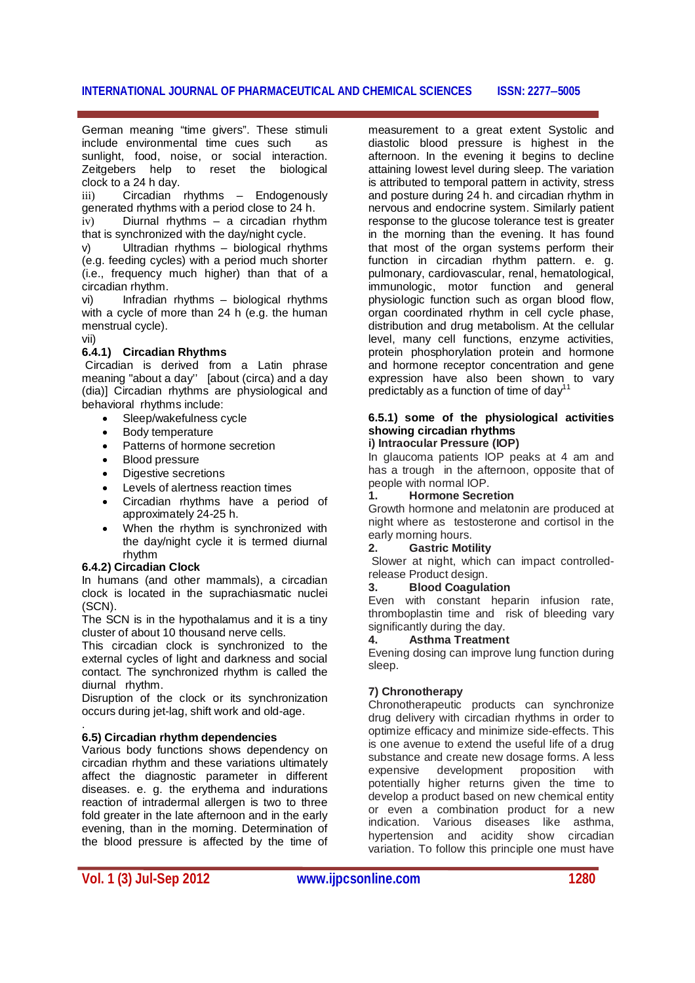German meaning "time givers". These stimuli include environmental time cues such as sunlight, food, noise, or social interaction. Zeitgebers help to reset the biological clock to a 24 h day.

iii) Circadian rhythms – Endogenously generated rhythms with a period close to 24 h.

iv) Diurnal rhythms – a circadian rhythm that is synchronized with the day/night cycle.

Ultradian rhythms - biological rhythms (e.g. feeding cycles) with a period much shorter (i.e., frequency much higher) than that of a circadian rhythm.

vi) Infradian rhythms – biological rhythms with a cycle of more than 24 h (e.g. the human menstrual cycle).

vii)

# **6.4.1) Circadian Rhythms**

Circadian is derived from a Latin phrase meaning "about a day'' [about (circa) and a day (dia)] Circadian rhythms are physiological and behavioral rhythms include:

- Sleep/wakefulness cycle
- Body temperature
- Patterns of hormone secretion
- Blood pressure
- Digestive secretions
- Levels of alertness reaction times
- Circadian rhythms have a period of approximately 24-25 h.
- When the rhythm is synchronized with the day/night cycle it is termed diurnal rhythm

# **6.4.2) Circadian Clock**

In humans (and other mammals), a circadian clock is located in the suprachiasmatic nuclei (SCN).

The SCN is in the hypothalamus and it is a tiny cluster of about 10 thousand nerve cells.

This circadian clock is synchronized to the external cycles of light and darkness and social contact. The synchronized rhythm is called the diurnal rhythm.

Disruption of the clock or its synchronization occurs during jet-lag, shift work and old-age.

#### . **6.5) Circadian rhythm dependencies**

Various body functions shows dependency on circadian rhythm and these variations ultimately affect the diagnostic parameter in different diseases. e. g. the erythema and indurations reaction of intradermal allergen is two to three fold greater in the late afternoon and in the early evening, than in the morning. Determination of the blood pressure is affected by the time of

measurement to a great extent Systolic and diastolic blood pressure is highest in the afternoon. In the evening it begins to decline attaining lowest level during sleep. The variation is attributed to temporal pattern in activity, stress and posture during 24 h. and circadian rhythm in nervous and endocrine system. Similarly patient response to the glucose tolerance test is greater in the morning than the evening. It has found that most of the organ systems perform their function in circadian rhythm pattern. e. g. pulmonary, cardiovascular, renal, hematological, immunologic, motor function and general physiologic function such as organ blood flow, organ coordinated rhythm in cell cycle phase, distribution and drug metabolism. At the cellular level, many cell functions, enzyme activities, protein phosphorylation protein and hormone and hormone receptor concentration and gene expression have also been shown to vary predictably as a function of time of day<sup>11</sup>

#### **6.5.1) some of the physiological activities showing circadian rhythms i) Intraocular Pressure (IOP)**

In glaucoma patients IOP peaks at 4 am and has a trough in the afternoon, opposite that of people with normal IOP.

#### **1. Hormone Secretion**

Growth hormone and melatonin are produced at night where as testosterone and cortisol in the early morning hours.

# **2. Gastric Motility**

Slower at night, which can impact controlledrelease Product design.

### **3. Blood Coagulation**

Even with constant heparin infusion rate, thromboplastin time and risk of bleeding vary significantly during the day.

#### **4. Asthma Treatment**

Evening dosing can improve lung function during sleep.

# **7) Chronotherapy**

Chronotherapeutic products can synchronize drug delivery with circadian rhythms in order to optimize efficacy and minimize side-effects. This is one avenue to extend the useful life of a drug substance and create new dosage forms. A less expensive development proposition with potentially higher returns given the time to develop a product based on new chemical entity or even a combination product for a new indication. Various diseases like asthma, hypertension and acidity show circadian variation. To follow this principle one must have